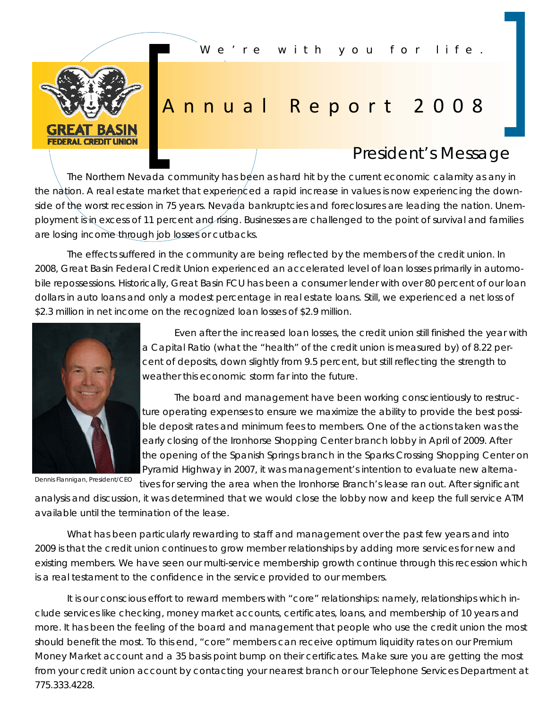*We're with you for life.* 



## Annual Report 2008

## *President's Message*

The Northern Nevada community has been as hard hit by the current economic calamity as any in the nation. A real estate market that experienced a rapid increase in values is now experiencing the downside of the worst recession in 75 years. Nevada bankruptcies and foreclosures are leading the nation. Unemployment is in excess of 11 percent and rising. Businesses are challenged to the point of survival and families are losing income through job losses or cutbacks.

 The effects suffered in the community are being reflected by the members of the credit union. In 2008, Great Basin Federal Credit Union experienced an accelerated level of loan losses primarily in automobile repossessions. Historically, Great Basin FCU has been a consumer lender with over 80 percent of our loan dollars in auto loans and only a modest percentage in real estate loans. Still, we experienced a net loss of \$2.3 million in net income on the recognized loan losses of \$2.9 million.



Dennis Flannigan, President/CEO

 Even after the increased loan losses, the credit union still finished the year with a Capital Ratio (what the "health" of the credit union is measured by) of 8.22 percent of deposits, down slightly from 9.5 percent, but still reflecting the strength to weather this economic storm far into the future.

 The board and management have been working conscientiously to restructure operating expenses to ensure we maximize the ability to provide the best possible deposit rates and minimum fees to members. One of the actions taken was the early closing of the Ironhorse Shopping Center branch lobby in April of 2009. After the opening of the Spanish Springs branch in the Sparks Crossing Shopping Center on Pyramid Highway in 2007, it was management's intention to evaluate new alterna-

tives for serving the area when the Ironhorse Branch's lease ran out. After significant analysis and discussion, it was determined that we would close the lobby now and keep the full service ATM available until the termination of the lease.

 What has been particularly rewarding to staff and management over the past few years and into 2009 is that the credit union continues to grow member relationships by adding more services for new and existing members. We have seen our multi-service membership growth continue through this recession which is a real testament to the confidence in the service provided to our members.

It is our conscious effort to reward members with "core" relationships: namely, relationships which include services like checking, money market accounts, certificates, loans, and membership of 10 years and more. It has been the feeling of the board and management that people who use the credit union the most should benefit the most. To this end, "core" members can receive optimum liquidity rates on our Premium Money Market account and a 35 basis point bump on their certificates. Make sure you are getting the most from your credit union account by contacting your nearest branch or our Telephone Services Department at 775.333.4228.